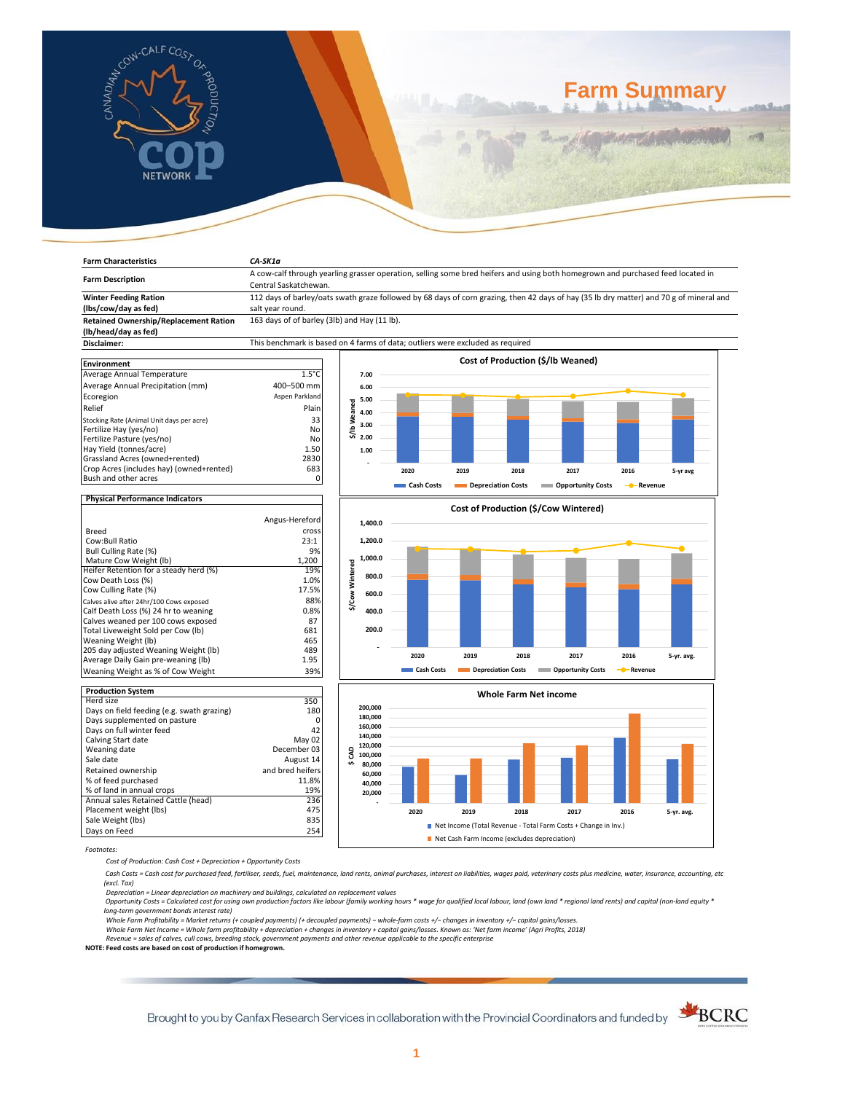

**Farm Characteristics** *CA-SK1a*

# **Farm Summary**

| <b>Farm Description</b>                      | Central Saskatchewan.                                                                                                                   | A cow-calf through yearling grasser operation, selling some bred heifers and using both homegrown and purchased feed located in |      |      |      |                                   |      |          |
|----------------------------------------------|-----------------------------------------------------------------------------------------------------------------------------------------|---------------------------------------------------------------------------------------------------------------------------------|------|------|------|-----------------------------------|------|----------|
| <b>Winter Feeding Ration</b>                 | 112 days of barley/oats swath graze followed by 68 days of corn grazing, then 42 days of hay (35 lb dry matter) and 70 g of mineral and |                                                                                                                                 |      |      |      |                                   |      |          |
| (lbs/cow/day as fed)                         | salt year round.                                                                                                                        |                                                                                                                                 |      |      |      |                                   |      |          |
| <b>Retained Ownership/Replacement Ration</b> |                                                                                                                                         | 163 days of of barley (3lb) and Hay (11 lb).                                                                                    |      |      |      |                                   |      |          |
| (lb/head/day as fed)                         |                                                                                                                                         |                                                                                                                                 |      |      |      |                                   |      |          |
| Disclaimer:                                  | This benchmark is based on 4 farms of data; outliers were excluded as required                                                          |                                                                                                                                 |      |      |      |                                   |      |          |
| <b>Environment</b>                           |                                                                                                                                         |                                                                                                                                 |      |      |      | Cost of Production (\$/lb Weaned) |      |          |
| Average Annual Temperature                   | $1.5^{\circ}$ C                                                                                                                         | 7.00                                                                                                                            |      |      |      |                                   |      |          |
| Average Annual Precipitation (mm)            | 400-500 mm                                                                                                                              | 6.00                                                                                                                            |      |      |      |                                   |      |          |
| Ecoregion                                    | Aspen Parkland                                                                                                                          | 5.00                                                                                                                            |      |      |      |                                   |      |          |
| Relief                                       | Plain                                                                                                                                   | Weaned<br>4.00                                                                                                                  |      |      |      |                                   |      |          |
| Stocking Rate (Animal Unit days per acre)    | 33                                                                                                                                      |                                                                                                                                 |      |      |      |                                   |      |          |
| Fertilize Hay (yes/no)                       | No                                                                                                                                      | 3.00<br>\$/lb                                                                                                                   |      |      |      |                                   |      |          |
| Fertilize Pasture (yes/no)                   | No                                                                                                                                      | 2.00                                                                                                                            |      |      |      |                                   |      |          |
| Hay Yield (tonnes/acre)                      | 1.50                                                                                                                                    | 1.00                                                                                                                            |      |      |      |                                   |      |          |
| Grassland Acres (owned+rented)               | 2830                                                                                                                                    |                                                                                                                                 |      |      |      |                                   |      |          |
| Crop Acres (includes hay) (owned+rented)     | 683                                                                                                                                     |                                                                                                                                 | 2020 | 2019 | 2018 | 2017                              | 2016 | 5-yr avg |
| Bush and other acres                         | 0                                                                                                                                       |                                                                                                                                 |      |      |      |                                   |      |          |

## **Physical Performance Indicators**

|                                          | Angus-Hereford |
|------------------------------------------|----------------|
| Breed                                    | cross          |
| Cow:Bull Ratio                           | 23:1           |
| Bull Culling Rate (%)                    | 9%             |
| Mature Cow Weight (Ib)                   | 1.200          |
| Heifer Retention for a steady herd (%)   | 19%            |
| Cow Death Loss (%)                       | 1.0%           |
| Cow Culling Rate (%)                     | 17.5%          |
| Calves alive after 24hr/100 Cows exposed | 88%            |
| Calf Death Loss (%) 24 hr to weaning     | 0.8%           |
| Calves weaned per 100 cows exposed       | 87             |
| Total Liveweight Sold per Cow (lb)       | 681            |
| Weaning Weight (lb)                      | 465            |
| 205 day adjusted Weaning Weight (lb)     | 489            |
| Average Daily Gain pre-weaning (lb)      | 1.95           |
| Weaning Weight as % of Cow Weight        | 39%            |

| <b>Production System</b>                   |                  |
|--------------------------------------------|------------------|
| Herd size                                  | 350              |
| Days on field feeding (e.g. swath grazing) | 180              |
| Days supplemented on pasture               |                  |
| Days on full winter feed                   | 42               |
| Calving Start date                         | May 02           |
| Weaning date                               | December 03      |
| Sale date                                  | August 14        |
| Retained ownership                         | and bred heifers |
| % of feed purchased                        | 11.8%            |
| % of land in annual crops                  | 19%              |
| Annual sales Retained Cattle (head)        | 236              |
| Placement weight (lbs)                     | 475              |
| Sale Weight (lbs)                          | 835              |
| Days on Feed                               | 254              |







*Footnotes:*

*Cost of Production: Cash Cost + Depreciation + Opportunity Costs*

 *Cash Costs = Cash cost for purchased feed, fertiliser, seeds, fuel, maintenance, land rents, animal purchases, interest on liabilities, wages paid, veterinary costs plus medicine, water, insurance, accounting, etc (excl. Tax)* 

Depreciation = Linear depreciation on machinery and buildings, calculated on replacement values<br>Opportunity Costs = Calculated cost for using own production factors like labour (family working hours \* wage for qualified lo *long-term government bonds interest rate)* 

Whole Farm Profitability = Market returns (+ coupled payments) (+ decoupled payments) – whole-farm costs +/– changes in inventory +/– capital gains/losses.<br>Whole Farm Net Income = Whole farm profitability + depreciation +

*Revenue = sales of calves, cull cows, breeding stock, government payments and other revenue applicable to the specific enterprise* **NOTE: Feed costs are based on cost of production if homegrown.**

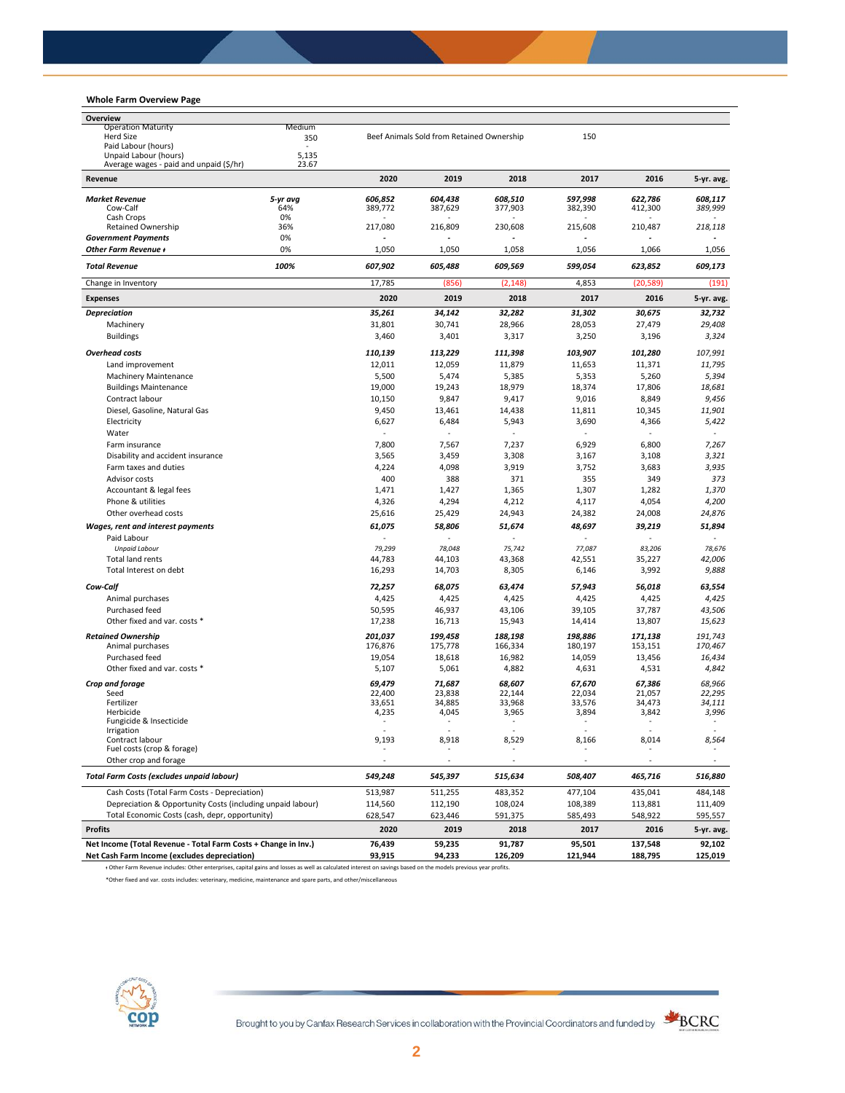# **Whole Farm Overview Page**

| Overview                                                                                                                                                        |                  |                                           |                          |                  |                  |                  |
|-----------------------------------------------------------------------------------------------------------------------------------------------------------------|------------------|-------------------------------------------|--------------------------|------------------|------------------|------------------|
| <b>Operation Maturity</b><br>Medium                                                                                                                             |                  |                                           |                          |                  |                  |                  |
| <b>Herd Size</b><br>350                                                                                                                                         |                  | Beef Animals Sold from Retained Ownership |                          |                  |                  |                  |
| Paid Labour (hours)                                                                                                                                             |                  |                                           |                          |                  |                  |                  |
| Unpaid Labour (hours)<br>5,135<br>23.67<br>Average wages - paid and unpaid (\$/hr)                                                                              |                  |                                           |                          |                  |                  |                  |
| Revenue                                                                                                                                                         | 2020             | 2019                                      | 2018                     | 2017             | 2016             | 5-yr. avg.       |
| <b>Market Revenue</b><br>5-yr avg                                                                                                                               | 606,852          | 604.438                                   | 608,510                  | 597,998          | 622,786          | 608,117          |
| 64%<br>Cow-Calf                                                                                                                                                 | 389.772          | 387,629                                   | 377,903                  | 382,390          | 412,300          | 389,999          |
| Cash Crops<br>0%                                                                                                                                                |                  |                                           |                          |                  |                  |                  |
| <b>Retained Ownership</b><br>36%<br>0%                                                                                                                          | 217,080          | 216,809                                   | 230,608                  | 215,608          | 210,487          | 218,118          |
| <b>Government Payments</b><br><b>Other Farm Revenue +</b><br>0%                                                                                                 | 1,050            | 1,050                                     | 1,058                    | 1,056            | 1,066            | 1,056            |
| <b>Total Revenue</b><br>100%                                                                                                                                    | 607,902          | 605,488                                   | 609,569                  | 599,054          | 623,852          | 609,173          |
| Change in Inventory                                                                                                                                             | 17,785           | (856)                                     | (2, 148)                 | 4,853            | (20, 589)        | (191)            |
| <b>Expenses</b>                                                                                                                                                 | 2020             | 2019                                      | 2018                     | 2017             | 2016             | 5-yr. avg.       |
| <b>Depreciation</b>                                                                                                                                             | 35,261           | 34,142                                    | 32,282                   | 31,302           | 30,675           | 32,732           |
| Machinery                                                                                                                                                       | 31,801           | 30,741                                    | 28,966                   | 28,053           | 27,479           | 29,408           |
| <b>Buildings</b>                                                                                                                                                | 3,460            | 3,401                                     | 3,317                    | 3,250            | 3,196            | 3,324            |
|                                                                                                                                                                 |                  |                                           |                          |                  |                  |                  |
| <b>Overhead costs</b>                                                                                                                                           | 110,139          | 113,229                                   | 111,398                  | 103,907          | 101,280          | 107,991          |
| Land improvement                                                                                                                                                | 12,011           | 12,059                                    | 11,879                   | 11,653           | 11,371           | 11,795           |
| <b>Machinery Maintenance</b>                                                                                                                                    | 5,500            | 5,474                                     | 5,385                    | 5,353            | 5,260            | 5,394            |
| <b>Buildings Maintenance</b>                                                                                                                                    | 19,000           | 19,243                                    | 18,979                   | 18,374           | 17,806           | 18,681           |
| Contract labour                                                                                                                                                 | 10,150           | 9,847                                     | 9,417                    | 9,016            | 8,849            | 9,456            |
| Diesel, Gasoline, Natural Gas                                                                                                                                   | 9,450            | 13,461                                    | 14,438                   | 11,811           | 10,345           | 11,901           |
| Electricity                                                                                                                                                     | 6,627            | 6,484                                     | 5,943                    | 3,690            | 4,366            | 5,422            |
| Water                                                                                                                                                           | ä,               |                                           |                          |                  |                  |                  |
| Farm insurance                                                                                                                                                  | 7,800            | 7,567                                     | 7,237                    | 6,929            | 6,800            | 7,267            |
| Disability and accident insurance                                                                                                                               | 3,565            | 3,459                                     | 3,308                    | 3,167            | 3,108            | 3,321            |
| Farm taxes and duties                                                                                                                                           | 4,224            | 4,098                                     | 3,919                    | 3,752            | 3,683            | 3,935            |
| Advisor costs                                                                                                                                                   | 400              | 388                                       | 371                      | 355              | 349              | 373              |
| Accountant & legal fees                                                                                                                                         | 1,471            | 1,427                                     | 1,365                    | 1,307            | 1,282            | 1,370            |
| Phone & utilities                                                                                                                                               | 4,326            | 4,294                                     | 4,212                    | 4,117            | 4,054            | 4,200            |
| Other overhead costs                                                                                                                                            | 25,616           | 25,429                                    | 24,943                   | 24,382           | 24,008           | 24,876           |
| Wages, rent and interest payments                                                                                                                               | 61,075           | 58,806                                    | 51,674                   | 48,697           | 39,219           | 51,894           |
| Paid Labour                                                                                                                                                     |                  |                                           |                          |                  |                  |                  |
| <b>Unpaid Labour</b>                                                                                                                                            | 79,299           | 78,048                                    | 75,742                   | 77,087           | 83,206           | 78,676           |
| Total land rents                                                                                                                                                | 44,783           | 44,103                                    | 43,368                   | 42,551           | 35,227           | 42,006           |
| Total Interest on debt                                                                                                                                          | 16,293           | 14,703                                    | 8,305                    | 6,146            | 3,992            | 9,888            |
| Cow-Calf                                                                                                                                                        | 72,257           | 68,075                                    | 63,474                   | 57,943           | 56,018           | 63,554           |
| Animal purchases                                                                                                                                                | 4,425            | 4,425                                     | 4,425                    | 4,425            | 4,425            | 4,425            |
| Purchased feed                                                                                                                                                  | 50,595           | 46,937                                    | 43,106                   | 39,105           | 37,787           | 43,506           |
| Other fixed and var. costs *                                                                                                                                    | 17,238           | 16,713                                    | 15,943                   | 14,414           | 13,807           | 15,623           |
| <b>Retained Ownership</b>                                                                                                                                       | 201,037          | 199,458                                   | 188,198                  | 198,886          | 171,138          | 191,743          |
| Animal purchases                                                                                                                                                | 176,876          | 175,778                                   | 166,334                  | 180,197          | 153,151          | 170,467          |
| Purchased feed                                                                                                                                                  | 19.054           | 18,618                                    | 16,982                   | 14,059           | 13,456           | 16.434           |
| Other fixed and var. costs *                                                                                                                                    | 5,107            | 5,061                                     | 4,882                    | 4,631            | 4,531            | 4,842            |
|                                                                                                                                                                 |                  |                                           |                          |                  |                  |                  |
| Crop and forage<br>Seed                                                                                                                                         | 69,479<br>22,400 | 71,687<br>23,838                          | 68,607<br>22,144         | 67,670<br>22,034 | 67,386<br>21,057 | 68,966<br>22,295 |
| Fertilizer                                                                                                                                                      | 33.651           | 34,885                                    | 33,968                   | 33,576           | 34,473           | 34,111           |
| Herbicide                                                                                                                                                       | 4,235            | 4,045                                     | 3,965                    | 3,894            | 3,842            | 3,996            |
| Fungicide & Insecticide                                                                                                                                         | ٠                | ٠                                         | $\overline{\phantom{a}}$ | ٠                | $\sim$           | $\sim$           |
| Irrigation                                                                                                                                                      |                  |                                           |                          |                  |                  |                  |
| Contract labour<br>Fuel costs (crop & forage)                                                                                                                   | 9,193            | 8,918                                     | 8,529                    | 8,166            | 8,014            | 8,564            |
| Other crop and forage                                                                                                                                           |                  | ÷,                                        |                          |                  |                  |                  |
| <b>Total Farm Costs (excludes unpaid labour)</b>                                                                                                                | 549,248          | 545,397                                   | 515,634                  | 508,407          | 465,716          | 516,880          |
| Cash Costs (Total Farm Costs - Depreciation)                                                                                                                    | 513,987          | 511,255                                   | 483,352                  | 477,104          | 435,041          | 484,148          |
| Depreciation & Opportunity Costs (including unpaid labour)                                                                                                      | 114,560          | 112,190                                   | 108,024                  | 108,389          | 113,881          | 111,409          |
| Total Economic Costs (cash, depr, opportunity)                                                                                                                  | 628,547          | 623,446                                   | 591,375                  | 585,493          | 548,922          | 595,557          |
| <b>Profits</b>                                                                                                                                                  | 2020             | 2019                                      | 2018                     | 2017             | 2016             | 5-yr. avg.       |
| Net Income (Total Revenue - Total Farm Costs + Change in Inv.)                                                                                                  | 76,439           | 59,235                                    | 91,787                   | 95,501           | 137,548          | 92,102           |
| Net Cash Farm Income (excludes depreciation)                                                                                                                    | 93,915           | 94,233                                    | 126,209                  | 121,944          | 188,795          | 125,019          |
| + Other Farm Revenue includes: Other enterprises, capital gains and losses as well as calculated interest on savings based on the models previous year profits. |                  |                                           |                          |                  |                  |                  |

\*Other fixed and var. costs includes: veterinary, medicine, maintenance and spare parts, and other/miscellaneous



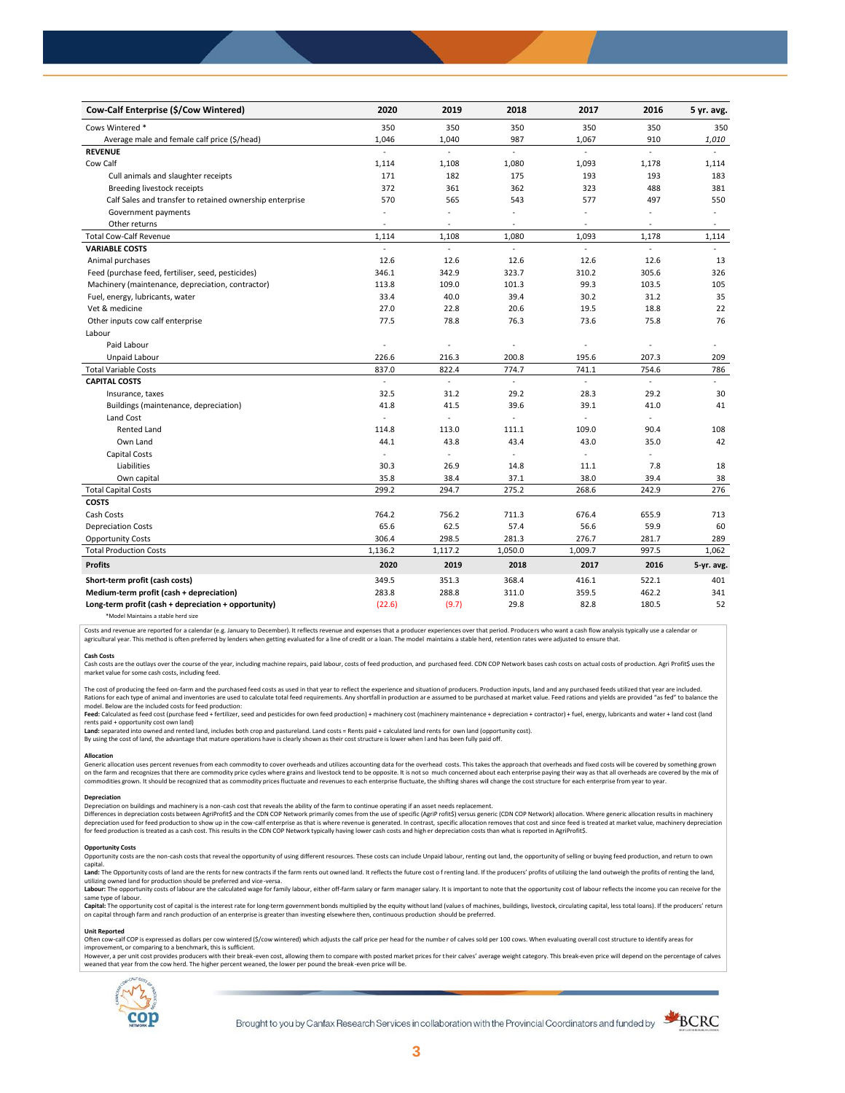| Cow-Calf Enterprise (\$/Cow Wintered)                    | 2020           | 2019    | 2018                     | 2017                     | 2016                     | 5 yr. avg.               |
|----------------------------------------------------------|----------------|---------|--------------------------|--------------------------|--------------------------|--------------------------|
| Cows Wintered *                                          | 350            | 350     | 350                      | 350                      | 350                      | 350                      |
| Average male and female calf price (\$/head)             | 1,046          | 1,040   | 987                      | 1,067                    | 910                      | 1,010                    |
| <b>REVENUE</b>                                           |                | ÷       | à.                       | ÷                        | ÷                        |                          |
| Cow Calf                                                 | 1,114          | 1,108   | 1,080                    | 1,093                    | 1,178                    | 1,114                    |
| Cull animals and slaughter receipts                      | 171            | 182     | 175                      | 193                      | 193                      | 183                      |
| Breeding livestock receipts                              | 372            | 361     | 362                      | 323                      | 488                      | 381                      |
| Calf Sales and transfer to retained ownership enterprise | 570            | 565     | 543                      | 577                      | 497                      | 550                      |
| Government payments                                      |                | ä,      |                          | ä,                       |                          | $\ddot{\phantom{1}}$     |
| Other returns                                            |                | ٠       | $\overline{\phantom{a}}$ | $\overline{\phantom{a}}$ | $\overline{\phantom{a}}$ | $\overline{\phantom{a}}$ |
| <b>Total Cow-Calf Revenue</b>                            | 1,114          | 1,108   | 1,080                    | 1,093                    | 1,178                    | 1,114                    |
| <b>VARIABLE COSTS</b>                                    |                |         |                          |                          |                          |                          |
| Animal purchases                                         | 12.6           | 12.6    | 12.6                     | 12.6                     | 12.6                     | 13                       |
| Feed (purchase feed, fertiliser, seed, pesticides)       | 346.1          | 342.9   | 323.7                    | 310.2                    | 305.6                    | 326                      |
| Machinery (maintenance, depreciation, contractor)        | 113.8          | 109.0   | 101.3                    | 99.3                     | 103.5                    | 105                      |
| Fuel, energy, lubricants, water                          | 33.4           | 40.0    | 39.4                     | 30.2                     | 31.2                     | 35                       |
| Vet & medicine                                           | 27.0           | 22.8    | 20.6                     | 19.5                     | 18.8                     | 22                       |
| Other inputs cow calf enterprise                         | 77.5           | 78.8    | 76.3                     | 73.6                     | 75.8                     | 76                       |
| Labour                                                   |                |         |                          |                          |                          |                          |
| Paid Labour                                              |                | ÷,      |                          |                          |                          |                          |
| Unpaid Labour                                            | 226.6          | 216.3   | 200.8                    | 195.6                    | 207.3                    | 209                      |
| <b>Total Variable Costs</b>                              | 837.0          | 822.4   | 774.7                    | 741.1                    | 754.6                    | 786                      |
| <b>CAPITAL COSTS</b>                                     | ä,             | ä,      | $\blacksquare$           | ä,                       | ÷                        | $\mathbf{r}$             |
| Insurance, taxes                                         | 32.5           | 31.2    | 29.2                     | 28.3                     | 29.2                     | 30                       |
| Buildings (maintenance, depreciation)                    | 41.8           | 41.5    | 39.6                     | 39.1                     | 41.0                     | 41                       |
| Land Cost                                                | ÷,             | ä,      |                          | ÷                        | ÷                        |                          |
| <b>Rented Land</b>                                       | 114.8          | 113.0   | 111.1                    | 109.0                    | 90.4                     | 108                      |
| Own Land                                                 | 44.1           | 43.8    | 43.4                     | 43.0                     | 35.0                     | 42                       |
| Capital Costs                                            | $\overline{a}$ | ٠       | $\overline{\phantom{a}}$ | ٠                        |                          |                          |
| Liabilities                                              | 30.3           | 26.9    | 14.8                     | 11.1                     | 7.8                      | 18                       |
| Own capital                                              | 35.8           | 38.4    | 37.1                     | 38.0                     | 39.4                     | 38                       |
| <b>Total Capital Costs</b>                               | 299.2          | 294.7   | 275.2                    | 268.6                    | 242.9                    | 276                      |
| <b>COSTS</b>                                             |                |         |                          |                          |                          |                          |
| Cash Costs                                               | 764.2          | 756.2   | 711.3                    | 676.4                    | 655.9                    | 713                      |
| <b>Depreciation Costs</b>                                | 65.6           | 62.5    | 57.4                     | 56.6                     | 59.9                     | 60                       |
| <b>Opportunity Costs</b>                                 | 306.4          | 298.5   | 281.3                    | 276.7                    | 281.7                    | 289                      |
| <b>Total Production Costs</b>                            | 1,136.2        | 1,117.2 | 1,050.0                  | 1,009.7                  | 997.5                    | 1,062                    |
| <b>Profits</b>                                           | 2020           | 2019    | 2018                     | 2017                     | 2016                     | 5-yr. avg.               |
| Short-term profit (cash costs)                           | 349.5          | 351.3   | 368.4                    | 416.1                    | 522.1                    | 401                      |
| Medium-term profit (cash + depreciation)                 | 283.8          | 288.8   | 311.0                    | 359.5                    | 462.2                    | 341                      |
| Long-term profit (cash + depreciation + opportunity)     | (22.6)         | (9.7)   | 29.8                     | 82.8                     | 180.5                    | 52                       |
| *Model Maintains a stable herd size                      |                |         |                          |                          |                          |                          |

Costs and revenue are reported for a calendar (e.g. January to December). It reflects revenue and expenses that a producer experiences over that period. Producers who want a cash flow analysis typically use a calendar or agricultural year. This method is often preferred by lenders when getting evaluated for a line of credit or a loan. The model maintains a stable herd, retention rates were adjusted to ensure that

C<mark>ash Costs</mark><br>Cash costs are the outlays over the course of the year, including machine repairs, paid labour, costs of feed production, and purchased feed. CDN COP Network bases cash costs on actual costs of production. Agr market value for some cash costs, including feed.

The cost of producing the feed on-farm and the purchased feed costs as used in that year to reflect the experience and situation of producers. Production inputs, land and any purchased feeds utilized that year are included model. Below are the included costs for feed production:

#### moder.outwhat was made used to receip would continuour.<br>**Feed:** Calculated as feed cost (purchase feed + fertilizer, seed and pesticides for own feed production) + machinery cost (machinery maintenance + depreciation + con rents paid + opportunity cost own land)

**Land:** separated into owned and rented land, includes both crop and pastureland. Land costs = Rents paid + calculated land rents for own land (opportunity cost).

By using the cost of land, the advantage that mature operations have is clearly shown as their cost structure is lower when l and has been fully paid off.

#### **Allocation**

Generic allocation uses percent revenues from each commodity to cover overheads and utilizes accounting data for the overhead costs. This takes the approach that overheads and fixed costs will be covered by something grown commodities grown. It should be recognized that as commodity prices fluctuate and revenues to each enterprise fluctuate, the shifting shares will change the cost structure for each enterprise from year to year.

## **Depreciation**

Depreciation on buildings and machinery is a non-cash cost that reveals the ability of the farm to continue operating if an asset needs replacement. Differences in depreciation costs between AgriProfit\$ and the CDN COP Network primarily comes from the use of specific (AgriP rofit\$) versus generic (CDN COP Network) allocation. Where generic allocation results in machine

#### **Opportunity Costs**

Provincing COSS are the non-cash costs that reveal the opportunity of using different resources. These costs can include Unpaid labour, renting out land, the opportunity of selling or buying feed production, and return to capital.

required.<br>Land: The Opportunity costs of land are the rents for new contracts if the farm rents out owned land. It reflects the future cost of renting land. If the producers' profits of utilizing the land outweigh the prof utilizing owned land for production should be preferred and vice-versa.<br>**Labour:** The opportunity costs of labour are the calculated wage for family labour, either off-farm salary or farm manager salary. It is important to

same type of labour.

**Capita**l: The opportunity cost of capital is the interest rate for long-term government bonds multiplied by the equity without land (values of machines, buildings, livestock, circulating capital, less total loans). If the

#### **Unit Reported**

Often cow-calf COP is expressed as dollars per cow wintered (\$/cow wintered) which adjusts the calf price per head for the number of calves sold per 100 cows. When evaluating overall cost structure to identify areas for<br>im

however..export of the structure with the structure of the break-even cost. allowing them to compare with posted market prices for their calves' average weight category. This break-even price will depend on the percentage weaned that year from the cow herd. The higher percent weaned, the lower per pound the break -even price will be.



Brought to you by Canfax Research Services in collaboration with the Provincial Coordinators and funded by

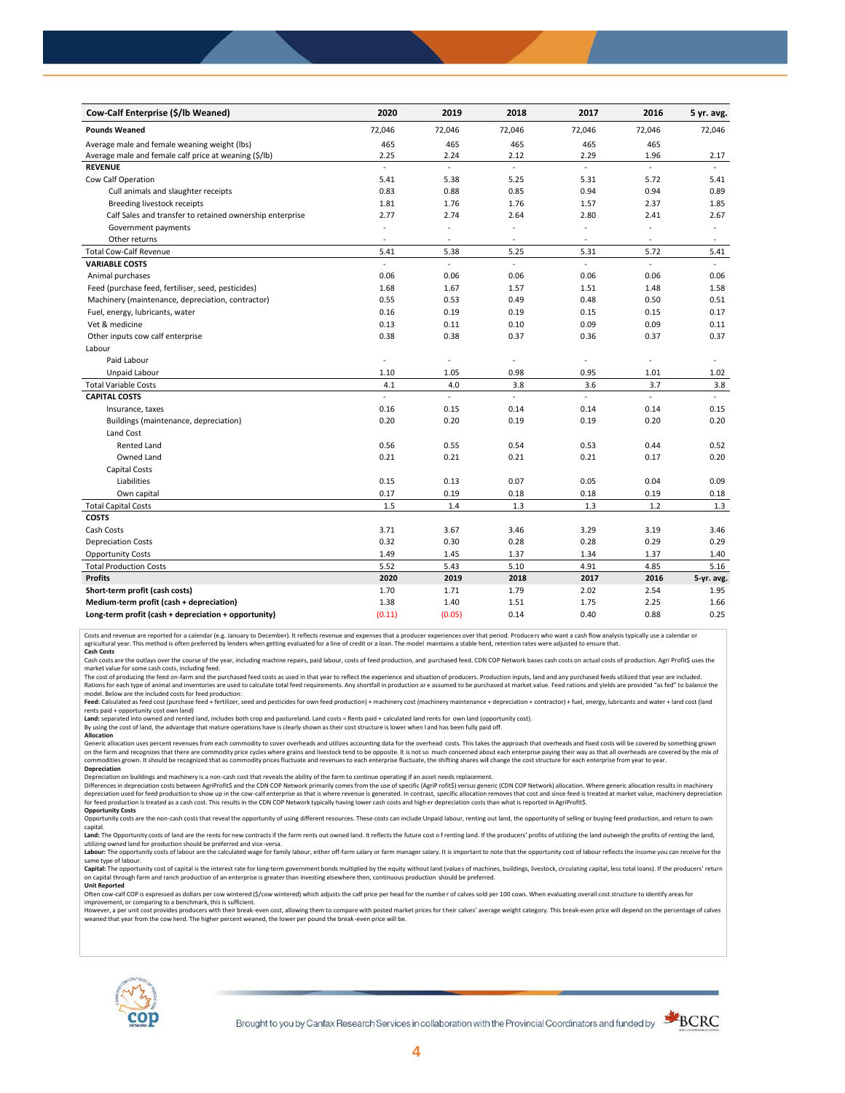| Cow-Calf Enterprise (\$/lb Weaned)                       | 2020           | 2019   | 2018           | 2017          | 2016   | 5 yr. avg. |
|----------------------------------------------------------|----------------|--------|----------------|---------------|--------|------------|
| <b>Pounds Weaned</b>                                     | 72,046         | 72,046 | 72,046         | 72,046        | 72,046 | 72,046     |
| Average male and female weaning weight (lbs)             | 465            | 465    | 465            | 465           | 465    |            |
| Average male and female calf price at weaning (\$/lb)    | 2.25           | 2.24   | 2.12           | 2.29          | 1.96   | 2.17       |
| <b>REVENUE</b>                                           | ä,             | L.     | $\overline{a}$ | $\mathcal{L}$ | ÷,     |            |
| Cow Calf Operation                                       | 5.41           | 5.38   | 5.25           | 5.31          | 5.72   | 5.41       |
| Cull animals and slaughter receipts                      | 0.83           | 0.88   | 0.85           | 0.94          | 0.94   | 0.89       |
| Breeding livestock receipts                              | 1.81           | 1.76   | 1.76           | 1.57          | 2.37   | 1.85       |
| Calf Sales and transfer to retained ownership enterprise | 2.77           | 2.74   | 2.64           | 2.80          | 2.41   | 2.67       |
| Government payments                                      |                | ÷,     |                | ä,            |        | $\sim$     |
| Other returns                                            | $\sim$         | ٠      | ٠              | $\sim$        | $\sim$ | $\sim$     |
| <b>Total Cow-Calf Revenue</b>                            | 5.41           | 5.38   | 5.25           | 5.31          | 5.72   | 5.41       |
| <b>VARIABLE COSTS</b>                                    | $\overline{a}$ | L.     |                | L.            | ÷,     |            |
| Animal purchases                                         | 0.06           | 0.06   | 0.06           | 0.06          | 0.06   | 0.06       |
| Feed (purchase feed, fertiliser, seed, pesticides)       | 1.68           | 1.67   | 1.57           | 1.51          | 1.48   | 1.58       |
| Machinery (maintenance, depreciation, contractor)        | 0.55           | 0.53   | 0.49           | 0.48          | 0.50   | 0.51       |
| Fuel, energy, lubricants, water                          | 0.16           | 0.19   | 0.19           | 0.15          | 0.15   | 0.17       |
| Vet & medicine                                           | 0.13           | 0.11   | 0.10           | 0.09          | 0.09   | 0.11       |
| Other inputs cow calf enterprise                         | 0.38           | 0.38   | 0.37           | 0.36          | 0.37   | 0.37       |
| Labour                                                   |                |        |                |               |        |            |
| Paid Labour                                              | ÷.             | ä,     |                | ä,            | ÷,     |            |
| Unpaid Labour                                            | 1.10           | 1.05   | 0.98           | 0.95          | 1.01   | 1.02       |
| <b>Total Variable Costs</b>                              | 4.1            | 4.0    | 3.8            | 3.6           | 3.7    | 3.8        |
| <b>CAPITAL COSTS</b>                                     | $\mathcal{L}$  | ä,     | ÷.             | L.            | ÷.     | ÷.         |
| Insurance, taxes                                         | 0.16           | 0.15   | 0.14           | 0.14          | 0.14   | 0.15       |
| Buildings (maintenance, depreciation)                    | 0.20           | 0.20   | 0.19           | 0.19          | 0.20   | 0.20       |
| Land Cost                                                |                |        |                |               |        |            |
| <b>Rented Land</b>                                       | 0.56           | 0.55   | 0.54           | 0.53          | 0.44   | 0.52       |
| Owned Land                                               | 0.21           | 0.21   | 0.21           | 0.21          | 0.17   | 0.20       |
| Capital Costs                                            |                |        |                |               |        |            |
| Liabilities                                              | 0.15           | 0.13   | 0.07           | 0.05          | 0.04   | 0.09       |
| Own capital                                              | 0.17           | 0.19   | 0.18           | 0.18          | 0.19   | 0.18       |
| <b>Total Capital Costs</b>                               | 1.5            | 1.4    | 1.3            | 1.3           | 1.2    | 1.3        |
| <b>COSTS</b>                                             |                |        |                |               |        |            |
| Cash Costs                                               | 3.71           | 3.67   | 3.46           | 3.29          | 3.19   | 3.46       |
| <b>Depreciation Costs</b>                                | 0.32           | 0.30   | 0.28           | 0.28          | 0.29   | 0.29       |
| <b>Opportunity Costs</b>                                 | 1.49           | 1.45   | 1.37           | 1.34          | 1.37   | 1.40       |
| <b>Total Production Costs</b>                            | 5.52           | 5.43   | 5.10           | 4.91          | 4.85   | 5.16       |
| <b>Profits</b>                                           | 2020           | 2019   | 2018           | 2017          | 2016   | 5-yr. avg. |
| Short-term profit (cash costs)                           | 1.70           | 1.71   | 1.79           | 2.02          | 2.54   | 1.95       |
| Medium-term profit (cash + depreciation)                 | 1.38           | 1.40   | 1.51           | 1.75          | 2.25   | 1.66       |
| Long-term profit (cash + depreciation + opportunity)     | (0.11)         | (0.05) | 0.14           | 0.40          | 0.88   | 0.25       |

Costs and revenue are reported for a calendar (e.g. January to December). It reflects revenue and expenses that a producer experiences over that period. Producers who want a cash flow analysis typically use a calendar or<br>a

cash costs are the outlays over the course of the year, including machine repairs, paid labour, costs of feed production, and purchased feed. CDN COP Network bases cash costs on actual costs of production. Agri Profit\$ use market value for some cash costs, including feed.

The cost of producing the feed on-farm and the purchased feed costs as used in that year to reflect the experience and situation of producers. Production inputs, land and any purchased feeds utilized that year are included model. Below are the included costs for feed production:

Feed: Calculated as feed cost (purchase feed + fertilizer, seed and pesticides for own feed production) + machinery cost (machinery maintenance + depreciation + contractor) + fuel, energy, lubricants and water + land cost

Land: separated into owned and rented land, includes both crop and pastureland. Land costs = Rents paid + calculated land rents for own land (opportunity cost).

By using the cost of land, the advantage that mature operations have is clearly shown as their cost structure is lower when l and has been fully paid off. **Allocation**

Generic allocation uses percent revenues from each commodity to cover overheads and utilizes accounting data for the overhead costs. This takes the approach that overheads and fixed costs will be covered by something grown on the farm and recognizes that there are commodity price cycles where grains and livestock tend to be opposite. It is not so much concerned about each enterprise paying their way as that all overheads are covered by the m **Depreciation**

Depreciation on buildings and machinery is a non-cash cost that reveals the ability of the farm to continue operating if an asset needs replacement.

Differences in depreciation costs between AgriProfit\$ and the CDN COP Network primarily comes from the use of specific (AgriP rofit\$) versus generic (CDN COP Network) allocation. Where generic allocation results in machine

### **Opportunity Costs**

Opportunity costs are the non-cash costs that reveal the opportunity of using different resources. These costs can include Unpaid labour, renting out land, the opportunity of selling or buying feed production, and return t Land: The Opportunity costs of land are the rents for new contracts if the farm rents out owned land. It reflects the future cost of renting land. If the producers' profits of utilizing the land outweigh the profits of ren

utilizing owned land for production should be preferred and vice-versa.<br>**Labour:** The opportunity costs of labour are the calculated wage for family labour, either off-farm salary or farm manager salary. It is important to same type of labour.

Capital: The opportunity cost of capital is the interest rate for long-term government bonds multiplied by the equity without land (values of machines, buildings, livestock, circulating capital, less total loans). If the p on capital through farm and ranch production of an enterprise is greater than investing elsewhere then, continuous production should be preferred. **Unit Reported**

Often cow-calf COP is expressed as dollars per cow wintered (\$/cow wintered) which adjusts the calf price per head for the numbe r of calves sold per 100 cows. When evaluating overall cost structure to identify areas for

improvement, or comparing to a benchmark, this is sufficient.<br>However, a per unit cost provides producers with their break-even cost, allowing them to compare with posted market prices for their calves' average weight cate weaned that year from the cow herd. The higher percent weaned, the lower per pound the break -even price will be.



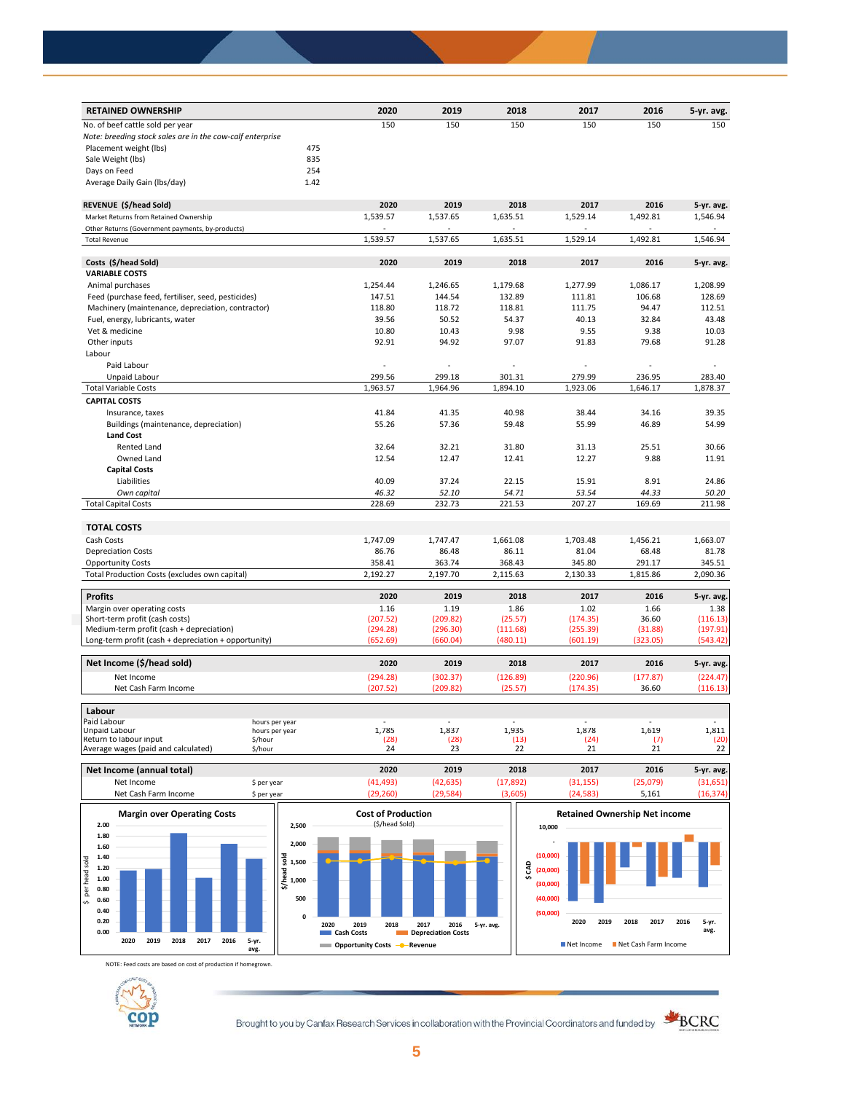| <b>RETAINED OWNERSHIP</b>                                 |                    | 2020          | 2019          | 2018          | 2017          | 2016         | 5-yr. avg.    |
|-----------------------------------------------------------|--------------------|---------------|---------------|---------------|---------------|--------------|---------------|
| No. of beef cattle sold per year                          |                    | 150           | 150           | 150           | 150           | 150          | 150           |
| Note: breeding stock sales are in the cow-calf enterprise |                    |               |               |               |               |              |               |
| Placement weight (lbs)                                    | 475                |               |               |               |               |              |               |
| Sale Weight (lbs)                                         | 835                |               |               |               |               |              |               |
| Days on Feed                                              | 254                |               |               |               |               |              |               |
| Average Daily Gain (Ibs/day)                              | 1.42               |               |               |               |               |              |               |
| REVENUE (\$/head Sold)                                    |                    | 2020          | 2019          | 2018          | 2017          | 2016         | 5-yr. avg.    |
| Market Returns from Retained Ownership                    |                    | 1,539.57      | 1,537.65      | 1,635.51      | 1,529.14      | 1,492.81     | 1,546.94      |
| Other Returns (Government payments, by-products)          |                    |               |               |               |               |              |               |
| <b>Total Revenue</b>                                      |                    | 1,539.57      | 1,537.65      | 1,635.51      | 1,529.14      | 1,492.81     | 1,546.94      |
| Costs (\$/head Sold)                                      |                    | 2020          | 2019          | 2018          | 2017          | 2016         | 5-yr. avg.    |
| <b>VARIABLE COSTS</b>                                     |                    |               |               |               |               |              |               |
| Animal purchases                                          |                    | 1,254.44      | 1,246.65      | 1,179.68      | 1,277.99      | 1,086.17     | 1,208.99      |
| Feed (purchase feed, fertiliser, seed, pesticides)        |                    | 147.51        | 144.54        | 132.89        | 111.81        | 106.68       | 128.69        |
| Machinery (maintenance, depreciation, contractor)         |                    | 118.80        | 118.72        | 118.81        | 111.75        | 94.47        | 112.51        |
| Fuel, energy, lubricants, water                           |                    | 39.56         | 50.52         | 54.37         | 40.13         | 32.84        | 43.48         |
| Vet & medicine                                            |                    | 10.80         | 10.43         | 9.98          | 9.55          | 9.38         | 10.03         |
| Other inputs                                              |                    | 92.91         | 94.92         | 97.07         | 91.83         | 79.68        | 91.28         |
| Labour                                                    |                    |               |               |               |               |              |               |
| Paid Labour                                               |                    |               |               |               |               |              |               |
| Unpaid Labour                                             |                    | 299.56        | 299.18        | 301.31        | 279.99        | 236.95       | 283.40        |
| <b>Total Variable Costs</b>                               |                    | 1,963.57      | 1,964.96      | 1,894.10      | 1,923.06      | 1,646.17     | 1,878.37      |
| <b>CAPITAL COSTS</b>                                      |                    |               |               |               |               |              |               |
| Insurance, taxes                                          |                    | 41.84         | 41.35         | 40.98         | 38.44         | 34.16        | 39.35         |
| Buildings (maintenance, depreciation)                     |                    | 55.26         | 57.36         | 59.48         | 55.99         | 46.89        | 54.99         |
| <b>Land Cost</b>                                          |                    |               |               |               |               |              |               |
| Rented Land                                               |                    | 32.64         | 32.21         | 31.80         | 31.13         | 25.51        | 30.66         |
| Owned Land                                                |                    | 12.54         | 12.47         | 12.41         | 12.27         | 9.88         | 11.91         |
| <b>Capital Costs</b>                                      |                    |               |               |               |               |              |               |
| Liabilities                                               |                    | 40.09         | 37.24         | 22.15         | 15.91         | 8.91         | 24.86         |
| Own capital                                               |                    | 46.32         | 52.10         | 54.71         | 53.54         | 44.33        | 50.20         |
| <b>Total Capital Costs</b>                                |                    | 228.69        | 232.73        | 221.53        | 207.27        | 169.69       | 211.98        |
| <b>TOTAL COSTS</b>                                        |                    |               |               |               |               |              |               |
| Cash Costs                                                |                    | 1,747.09      | 1,747.47      | 1,661.08      | 1,703.48      | 1,456.21     | 1,663.07      |
| <b>Depreciation Costs</b>                                 |                    | 86.76         | 86.48         | 86.11         | 81.04         | 68.48        | 81.78         |
| <b>Opportunity Costs</b>                                  |                    | 358.41        | 363.74        | 368.43        | 345.80        | 291.17       | 345.51        |
| Total Production Costs (excludes own capital)             |                    | 2,192.27      | 2,197.70      | 2,115.63      | 2,130.33      | 1,815.86     | 2,090.36      |
|                                                           |                    |               |               |               |               |              |               |
| <b>Profits</b>                                            |                    | 2020          | 2019          | 2018          | 2017          | 2016         | 5-yr. avg.    |
| Margin over operating costs                               |                    | 1.16          | 1.19          | 1.86          | 1.02          | 1.66         | 1.38          |
| Short-term profit (cash costs)                            |                    | (207.52)      | (209.82)      | (25.57)       | (174.35)      | 36.60        | (116.13)      |
| Medium-term profit (cash + depreciation)                  |                    | (294.28)      | (296.30)      | (111.68)      | (255.39)      | (31.88)      | (197.91)      |
| Long-term profit (cash + depreciation + opportunity)      |                    | (652.69)      | (660.04)      | (480.11)      | (601.19)      | (323.05)     | (543.42)      |
| Net Income (\$/head sold)                                 |                    | 2020          | 2019          | 2018          | 2017          | 2016         | 5-yr. avg.    |
| Net Income                                                |                    | (294.28)      | (302.37)      | (126.89)      | (220.96)      | (177.87)     | (224.47)      |
| Net Cash Farm Income                                      |                    | (207.52)      | (209.82)      | (25.57)       | (174.35)      | 36.60        | (116.13)      |
| Labour                                                    |                    |               |               |               |               |              |               |
| Paid Labour                                               | hours per year     |               |               |               |               |              |               |
| Unpaid Labour<br>Return to labour input                   | hours per year     | 1,785<br>(28) | 1,837<br>(28) | 1,935<br>(13) | 1,878<br>(24) | 1,619<br>(7) | 1,811<br>(20) |
| Average wages (paid and calculated)                       | \$/hour<br>\$/hour | 24            | 23            | 22            | 21            | 21           | 22            |
| Net Income (annual total)                                 |                    | 2020          | 2019          | 2018          | 2017          | 2016         | 5-yr. avg.    |
| Net Income                                                | \$ per year        | (41, 493)     | (42, 635)     | (17, 892)     | (31, 155)     | (25,079)     | (31,651)      |
|                                                           |                    |               |               |               |               |              |               |



NOTE: Feed costs are based on cost of production if homegrown.



Brought to you by Canfax Research Services in collaboration with the Provincial Coordinators and funded by